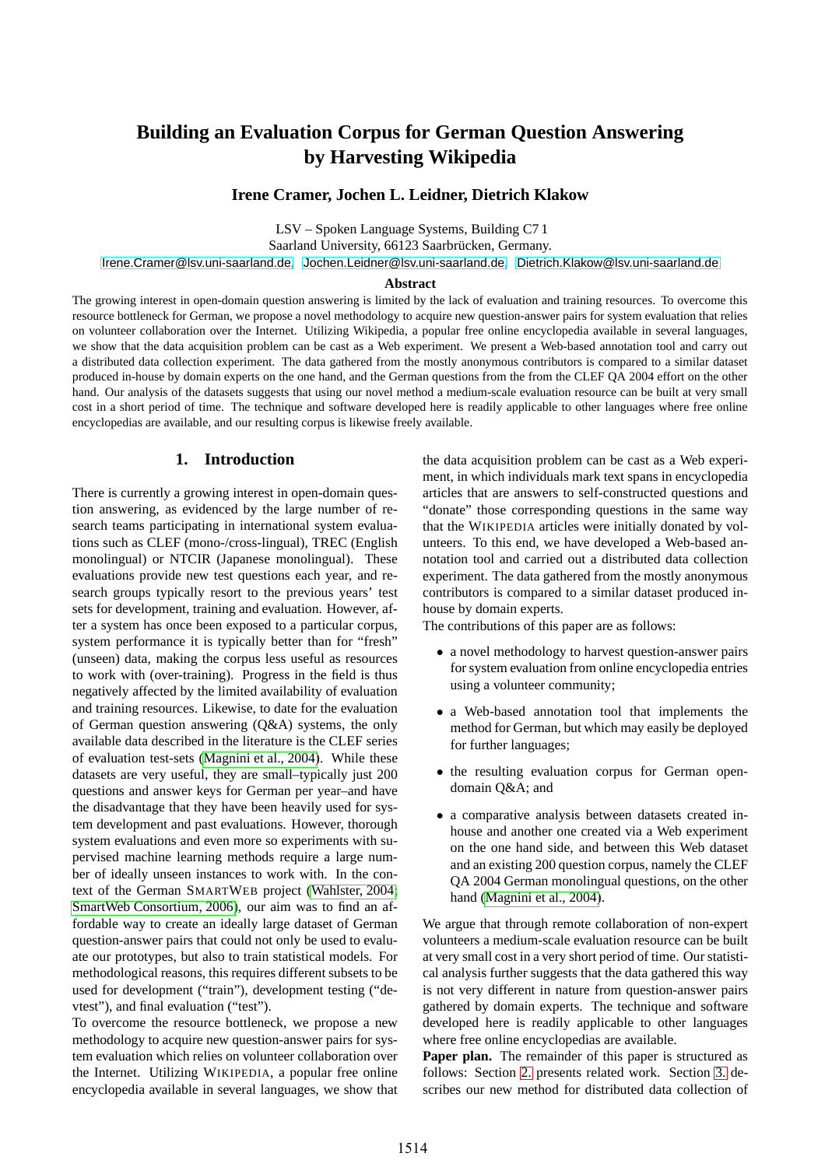# **Building an Evaluation Corpus for German Question Answering by Harvesting Wikipedia**

**Irene Cramer, Jochen L. Leidner, Dietrich Klakow**

LSV – Spoken Language Systems, Building C7 1 Saarland University, 66123 Saarbrücken, Germany.

[Irene.Cramer@lsv.uni-saarland.de](mailto:Irene.Cramer@lsv.uni-saarland.de), [Jochen.Leidner@lsv.uni-saarland.de](mailto:Jochen.Leidner@lsv.uni-saarland.de), [Dietrich.Klakow@lsv.uni-saarland.de](mailto:Dietrich.Klakow@lsv.uni-saarland.de)

#### **Abstract**

The growing interest in open-domain question answering is limited by the lack of evaluation and training resources. To overcome this resource bottleneck for German, we propose a novel methodology to acquire new question-answer pairs for system evaluation that relies on volunteer collaboration over the Internet. Utilizing Wikipedia, a popular free online encyclopedia available in several languages, we show that the data acquisition problem can be cast as a Web experiment. We present a Web-based annotation tool and carry out a distributed data collection experiment. The data gathered from the mostly anonymous contributors is compared to a similar dataset produced in-house by domain experts on the one hand, and the German questions from the from the CLEF QA 2004 effort on the other hand. Our analysis of the datasets suggests that using our novel method a medium-scale evaluation resource can be built at very small cost in a short period of time. The technique and software developed here is readily applicable to other languages where free online encyclopedias are available, and our resulting corpus is likewise freely available.

## **1. Introduction**

There is currently a growing interest in open-domain question answering, as evidenced by the large number of research teams participating in international system evaluations such as CLEF (mono-/cross-lingual), TREC (English monolingual) or NTCIR (Japanese monolingual). These evaluations provide new test questions each year, and research groups typically resort to the previous years' test sets for development, training and evaluation. However, after a system has once been exposed to a particular corpus, system performance it is typically better than for "fresh" (unseen) data, making the corpus less useful as resources to work with (over-training). Progress in the field is thus negatively affected by the limited availability of evaluation and training resources. Likewise, to date for the evaluation of German question answering (Q&A) systems, the only available data described in the literature is the CLEF series of evaluation test-sets [\(Magnini](#page-5-0) et al., 2004). While these datasets are very useful, they are small–typically just 200 questions and answer keys for German per year–and have the disadvantage that they have been heavily used for system development and past evaluations. However, thorough system evaluations and even more so experiments with supervised machine learning methods require a large number of ideally unseen instances to work with. In the context of the German SMARTWEB project [\(Wahlster,](#page-5-1) 2004; SmartWeb [Consortium,](#page-5-2) 2006), our aim was to find an affordable way to create an ideally large dataset of German question-answer pairs that could not only be used to evaluate our prototypes, but also to train statistical models. For methodological reasons, this requires different subsets to be used for development ("train"), development testing ("devtest"), and final evaluation ("test").

To overcome the resource bottleneck, we propose a new methodology to acquire new question-answer pairs for system evaluation which relies on volunteer collaboration over the Internet. Utilizing WIKIPEDIA, a popular free online encyclopedia available in several languages, we show that the data acquisition problem can be cast as a Web experiment, in which individuals mark text spans in encyclopedia articles that are answers to self-constructed questions and "donate" those corresponding questions in the same way that the WIKIPEDIA articles were initially donated by volunteers. To this end, we have developed a Web-based annotation tool and carried out a distributed data collection experiment. The data gathered from the mostly anonymous contributors is compared to a similar dataset produced inhouse by domain experts.

The contributions of this paper are as follows:

- a novel methodology to harvest question-answer pairs for system evaluation from online encyclopedia entries using a volunteer community;
- a Web-based annotation tool that implements the method for German, but which may easily be deployed for further languages;
- the resulting evaluation corpus for German opendomain Q&A; and
- a comparative analysis between datasets created inhouse and another one created via a Web experiment on the one hand side, and between this Web dataset and an existing 200 question corpus, namely the CLEF QA 2004 German monolingual questions, on the other hand [\(Magnini](#page-5-0) et al., 2004).

We argue that through remote collaboration of non-expert volunteers a medium-scale evaluation resource can be built at very small cost in a very short period of time. Ourstatistical analysis further suggests that the data gathered this way is not very different in nature from question-answer pairs gathered by domain experts. The technique and software developed here is readily applicable to other languages where free online encyclopedias are available.

**Paper plan.** The remainder of this paper is structured as follows: Section [2.](#page-1-0) presents related work. Section [3.](#page-1-1) describes our new method for distributed data collection of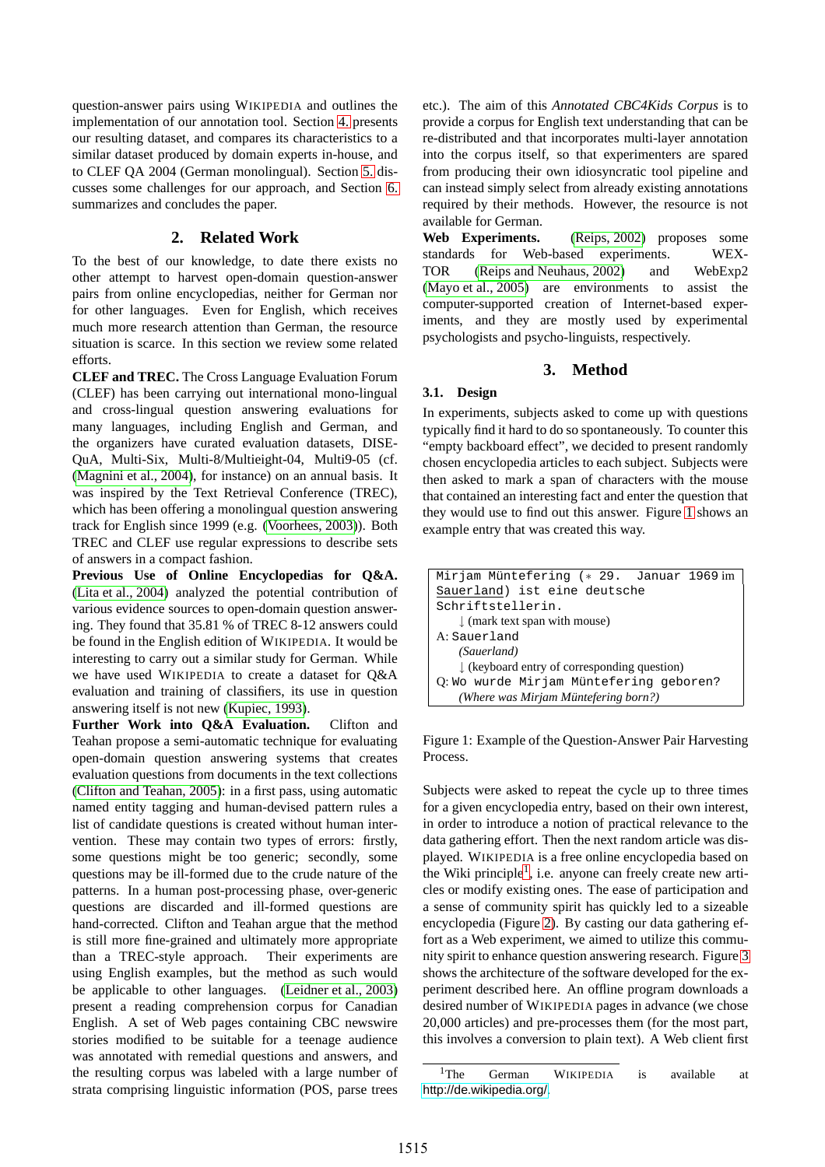question-answer pairs using WIKIPEDIA and outlines the implementation of our annotation tool. Section [4.](#page-2-0) presents our resulting dataset, and compares its characteristics to a similar dataset produced by domain experts in-house, and to CLEF QA 2004 (German monolingual). Section [5.](#page-3-0) discusses some challenges for our approach, and Section [6.](#page-5-3) summarizes and concludes the paper.

## **2. Related Work**

<span id="page-1-0"></span>To the best of our knowledge, to date there exists no other attempt to harvest open-domain question-answer pairs from online encyclopedias, neither for German nor for other languages. Even for English, which receives much more research attention than German, the resource situation is scarce. In this section we review some related efforts.

**CLEF and TREC.** The Cross Language Evaluation Forum (CLEF) has been carrying out international mono-lingual and cross-lingual question answering evaluations for many languages, including English and German, and the organizers have curated evaluation datasets, DISE-QuA, Multi-Six, Multi-8/Multieight-04, Multi9-05 (cf. [\(Magnini](#page-5-0) et al., 2004), for instance) on an annual basis. It was inspired by the Text Retrieval Conference (TREC), which has been offering a monolingual question answering track for English since 1999 (e.g. [\(Voorhees,](#page-5-4) 2003)). Both TREC and CLEF use regular expressions to describe sets of answers in a compact fashion.

**Previous Use of Online Encyclopedias for Q&A.** (Lita et al., [2004\)](#page-5-5) analyzed the potential contribution of various evidence sources to open-domain question answering. They found that 35.81 % of TREC 8-12 answers could be found in the English edition of WIKIPEDIA. It would be interesting to carry out a similar study for German. While we have used WIKIPEDIA to create a dataset for Q&A evaluation and training of classifiers, its use in question answering itself is not new [\(Kupiec,](#page-5-6) 1993).

**Further Work into Q&A Evaluation.** Clifton and Teahan propose a semi-automatic technique for evaluating open-domain question answering systems that creates evaluation questions from documents in the text collections (Clifton and [Teahan,](#page-5-7) 2005): in a first pass, using automatic named entity tagging and human-devised pattern rules a list of candidate questions is created without human intervention. These may contain two types of errors: firstly, some questions might be too generic; secondly, some questions may be ill-formed due to the crude nature of the patterns. In a human post-processing phase, over-generic questions are discarded and ill-formed questions are hand-corrected. Clifton and Teahan argue that the method is still more fine-grained and ultimately more appropriate than a TREC-style approach. Their experiments are using English examples, but the method as such would be applicable to other languages. [\(Leidner](#page-5-8) et al., 2003) present a reading comprehension corpus for Canadian English. A set of Web pages containing CBC newswire stories modified to be suitable for a teenage audience was annotated with remedial questions and answers, and the resulting corpus was labeled with a large number of strata comprising linguistic information (POS, parse trees etc.). The aim of this *Annotated CBC4Kids Corpus* is to provide a corpus for English text understanding that can be re-distributed and that incorporates multi-layer annotation into the corpus itself, so that experimenters are spared from producing their own idiosyncratic tool pipeline and can instead simply select from already existing annotations required by their methods. However, the resource is not available for German.

**Web Experiments.** [\(Reips,](#page-5-9) 2002) proposes some standards for Web-based experiments. TOR (Reips and [Neuhaus,](#page-5-10) 2002) and WebExp2 [\(Mayo](#page-5-11) et al., 2005) are environments to assist the computer-supported creation of Internet-based experiments, and they are mostly used by experimental psychologists and psycho-linguists, respectively.

# **3. Method**

## <span id="page-1-1"></span>**3.1. Design**

In experiments, subjects asked to come up with questions typically find it hard to do so spontaneously. To counter this "empty backboard effect", we decided to present randomly chosen encyclopedia articles to each subject. Subjects were then asked to mark a span of characters with the mouse that contained an interesting fact and enter the question that they would use to find out this answer. Figure [1](#page-1-2) shows an example entry that was created this way.

| Mirjam Müntefering (* 29. Januar 1969 im                |  |  |  |
|---------------------------------------------------------|--|--|--|
| Sauerland) ist eine deutsche                            |  |  |  |
| Schriftstellerin.                                       |  |  |  |
| $\downarrow$ (mark text span with mouse)                |  |  |  |
| A: Sauerland                                            |  |  |  |
| (Sauerland)                                             |  |  |  |
| $\downarrow$ (keyboard entry of corresponding question) |  |  |  |
| Q: Wo wurde Mirjam Müntefering geboren?                 |  |  |  |
| (Where was Mirjam Müntefering born?)                    |  |  |  |

<span id="page-1-2"></span>Figure 1: Example of the Question-Answer Pair Harvesting Process.

Subjects were asked to repeat the cycle up to three times for a given encyclopedia entry, based on their own interest, in order to introduce a notion of practical relevance to the data gathering effort. Then the next random article was displayed. WIKIPEDIA is a free online encyclopedia based on the Wiki principle<sup>[1](#page-1-3)</sup>, i.e. anyone can freely create new articles or modify existing ones. The ease of participation and a sense of community spirit has quickly led to a sizeable encyclopedia (Figure [2\)](#page-2-1). By casting our data gathering effort as a Web experiment, we aimed to utilize this community spirit to enhance question answering research. Figure [3](#page-2-2) shows the architecture of the software developed for the experiment described here. An offline program downloads a desired number of WIKIPEDIA pages in advance (we chose 20,000 articles) and pre-processes them (for the most part, this involves a conversion to plain text). A Web client first

<span id="page-1-3"></span><sup>&</sup>lt;sup>1</sup>The German WIKIPEDIA is available at <http://de.wikipedia.org/>.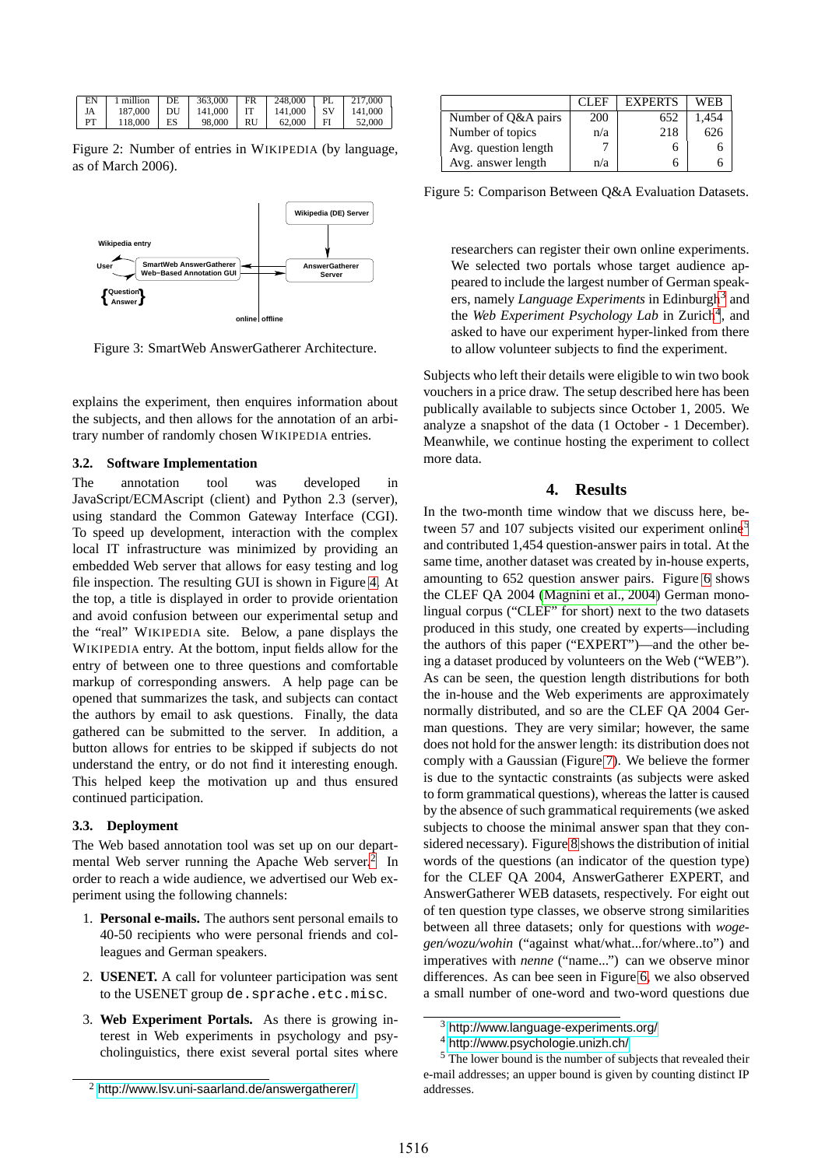| EN |            | 1 million   DE   363,000   FR |    | 248,000      | $\mathbf{PI}$ . | 217,000 |
|----|------------|-------------------------------|----|--------------|-----------------|---------|
| JA | 187,000 DU | 141,000 IT                    |    | $141,000$ SV |                 | 141.000 |
| PT | 118,000 ES | 98.000                        | RU | 62.000       | FI              | 52,000  |

<span id="page-2-1"></span>Figure 2: Number of entries in WIKIPEDIA (by language, as of March 2006).



<span id="page-2-2"></span>Figure 3: SmartWeb AnswerGatherer Architecture.

explains the experiment, then enquires information about the subjects, and then allows for the annotation of an arbitrary number of randomly chosen WIKIPEDIA entries.

## **3.2. Software Implementation**

The annotation tool was developed in JavaScript/ECMAscript (client) and Python 2.3 (server), using standard the Common Gateway Interface (CGI). To speed up development, interaction with the complex local IT infrastructure was minimized by providing an embedded Web server that allows for easy testing and log file inspection. The resulting GUI is shown in Figure [4.](#page-3-1) At the top, a title is displayed in order to provide orientation and avoid confusion between our experimental setup and the "real" WIKIPEDIA site. Below, a pane displays the WIKIPEDIA entry. At the bottom, input fields allow for the entry of between one to three questions and comfortable markup of corresponding answers. A help page can be opened that summarizes the task, and subjects can contact the authors by email to ask questions. Finally, the data gathered can be submitted to the server. In addition, a button allows for entries to be skipped if subjects do not understand the entry, or do not find it interesting enough. This helped keep the motivation up and thus ensured continued participation.

#### **3.3. Deployment**

The Web based annotation tool was set up on our depart-mental Web server running the Apache Web server.<sup>[2](#page-2-3)</sup> In order to reach a wide audience, we advertised our Web experiment using the following channels:

- 1. **Personal e-mails.** The authors sent personal emails to 40-50 recipients who were personal friends and colleagues and German speakers.
- 2. **USENET.** A call for volunteer participation was sent to the USENET group de.sprache.etc.misc.
- 3. **Web Experiment Portals.** As there is growing interest in Web experiments in psychology and psycholinguistics, there exist several portal sites where

|                      | CLEF | <b>EXPERTS</b> | WEB  |
|----------------------|------|----------------|------|
| Number of Q&A pairs  | 200  | 652            | .454 |
| Number of topics     | n/a  | 218            | 626  |
| Avg. question length |      |                |      |
| Avg. answer length   | n/a  |                |      |

Figure 5: Comparison Between Q&A Evaluation Datasets.

researchers can register their own online experiments. We selected two portals whose target audience appeared to include the largest number of German speakers, namely *Language Experiments* in Edinburgh<sup>[3](#page-2-4)</sup> and the *Web Experiment Psychology Lab* in Zurich<sup>[4](#page-2-5)</sup>, and asked to have our experiment hyper-linked from there to allow volunteer subjects to find the experiment.

Subjects who left their details were eligible to win two book vouchers in a price draw. The setup described here has been publically available to subjects since October 1, 2005. We analyze a snapshot of the data (1 October - 1 December). Meanwhile, we continue hosting the experiment to collect more data.

#### **4. Results**

<span id="page-2-0"></span>In the two-month time window that we discuss here, be-tween [5](#page-2-6)7 and 107 subjects visited our experiment online<sup>5</sup> and contributed 1,454 question-answer pairs in total. At the same time, another dataset was created by in-house experts, amounting to 652 question answer pairs. Figure [6](#page-3-2) shows the CLEF QA 2004 [\(Magnini](#page-5-0) et al., 2004) German monolingual corpus ("CLEF" for short) next to the two datasets produced in this study, one created by experts—including the authors of this paper ("EXPERT")—and the other being a dataset produced by volunteers on the Web ("WEB"). As can be seen, the question length distributions for both the in-house and the Web experiments are approximately normally distributed, and so are the CLEF QA 2004 German questions. They are very similar; however, the same does not hold for the answer length: its distribution does not comply with a Gaussian (Figure [7](#page-3-3)). We believe the former is due to the syntactic constraints (as subjects were asked to form grammatical questions), whereas the latter is caused by the absence of such grammatical requirements (we asked subjects to choose the minimal answer span that they con-sidered necessary). Figure [8](#page-4-0) shows the distribution of initial words of the questions (an indicator of the question type) for the CLEF QA 2004, AnswerGatherer EXPERT, and AnswerGatherer WEB datasets, respectively. For eight out of ten question type classes, we observe strong similarities between all three datasets; only for questions with *wogegen/wozu/wohin* ("against what/what...for/where..to") and imperatives with *nenne* ("name...") can we observe minor differences. As can bee seen in Figure [6,](#page-3-2) we also observed a small number of one-word and two-word questions due

 $3$  <http://www.language-experiments.org/>

<sup>4</sup> <http://www.psychologie.unizh.ch/>

<span id="page-2-6"></span><span id="page-2-5"></span><span id="page-2-4"></span><sup>5</sup> The lower bound is the number of subjects that revealed their e-mail addresses; an upper bound is given by counting distinct IP addresses.

<span id="page-2-3"></span> $2$  <http://www.lsv.uni-saarland.de/answergatherer/>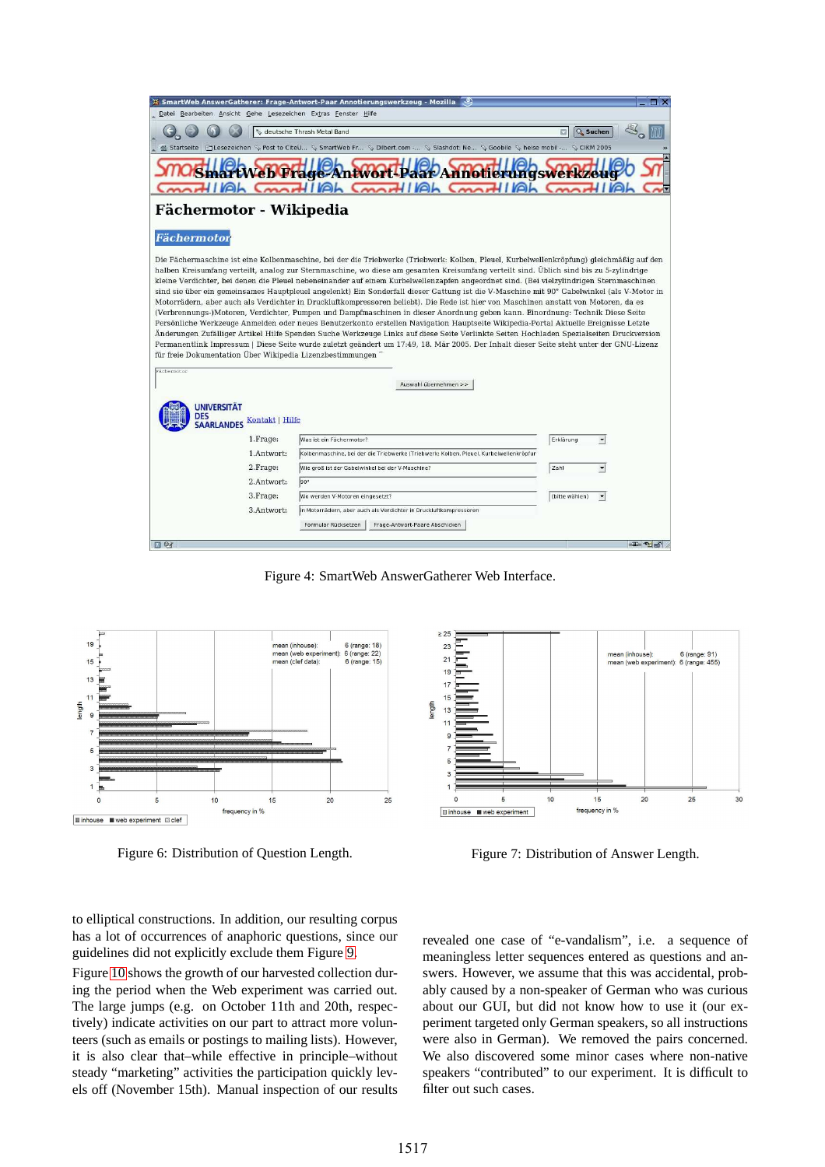| ₩ SmartWeb AnswerGatherer: Frage-Antwort-Paar Annotierungswerkzeug - Mozilla                                                                                                                                                                                                                                                                                                                                                                                                                                                                                                                                                                                                                                                                                                                                                                                                                                                                                                                                                                                                                                                                                                                                                                                                                                                                                                                                                                              | EIX                            |
|-----------------------------------------------------------------------------------------------------------------------------------------------------------------------------------------------------------------------------------------------------------------------------------------------------------------------------------------------------------------------------------------------------------------------------------------------------------------------------------------------------------------------------------------------------------------------------------------------------------------------------------------------------------------------------------------------------------------------------------------------------------------------------------------------------------------------------------------------------------------------------------------------------------------------------------------------------------------------------------------------------------------------------------------------------------------------------------------------------------------------------------------------------------------------------------------------------------------------------------------------------------------------------------------------------------------------------------------------------------------------------------------------------------------------------------------------------------|--------------------------------|
| Datei Bearbeiten Ansicht Gehe Lesezeichen Extras Fenster Hilfe                                                                                                                                                                                                                                                                                                                                                                                                                                                                                                                                                                                                                                                                                                                                                                                                                                                                                                                                                                                                                                                                                                                                                                                                                                                                                                                                                                                            |                                |
| Leutsche Thrash Metal Band                                                                                                                                                                                                                                                                                                                                                                                                                                                                                                                                                                                                                                                                                                                                                                                                                                                                                                                                                                                                                                                                                                                                                                                                                                                                                                                                                                                                                                | <b>Q</b> Suchen                |
| <b>全 Startseite</b><br>El Lesezeichen ♦ Post to CiteU ♦ SmartWeb Fr ♦ Dilbert.com - ♦ Slashdot: Ne ♦ Goobile ♦ heise mobil - ♦ CIKM 2005                                                                                                                                                                                                                                                                                                                                                                                                                                                                                                                                                                                                                                                                                                                                                                                                                                                                                                                                                                                                                                                                                                                                                                                                                                                                                                                  |                                |
| Web Frage-Antwort-Paar-Annotierungswerkze<br><b>HI</b> Mah<br>$m$ <sub>t</sub> $H$ $ M$<br>$m$ $H$ $ Wh$<br>⊾ו ו⊿                                                                                                                                                                                                                                                                                                                                                                                                                                                                                                                                                                                                                                                                                                                                                                                                                                                                                                                                                                                                                                                                                                                                                                                                                                                                                                                                         |                                |
| Fächermotor - Wikipedia                                                                                                                                                                                                                                                                                                                                                                                                                                                                                                                                                                                                                                                                                                                                                                                                                                                                                                                                                                                                                                                                                                                                                                                                                                                                                                                                                                                                                                   |                                |
| Fächermotor                                                                                                                                                                                                                                                                                                                                                                                                                                                                                                                                                                                                                                                                                                                                                                                                                                                                                                                                                                                                                                                                                                                                                                                                                                                                                                                                                                                                                                               |                                |
| Die Fächermaschine ist eine Kolbenmaschine, bei der die Triebwerke (Triebwerk: Kolben, Pleuel, Kurbelwellenkröpfung) gleichmäßig auf den<br>halben Kreisumfang verteilt, analog zur Sternmaschine, wo diese am gesamten Kreisumfang verteilt sind. Üblich sind bis zu 5-zylindrige<br>kleine Verdichter, bei denen die Pleuel nebeneinander auf einem Kurbelwellenzapfen angeordnet sind. (Bei vielzylindrigen Sternmaschinen<br>sind sie über ein gemeinsames Hauptpleuel angelenkt) Ein Sonderfall dieser Gattung ist die V-Maschine mit 90° Gabelwinkel (als V-Motor in<br>Motorrädern, aber auch als Verdichter in Druckluftkompressoren beliebt). Die Rede ist hier von Maschinen anstatt von Motoren, da es<br>(Verbrennungs-)Motoren, Verdichter, Pumpen und Dampfmaschinen in dieser Anordnung geben kann. Einordnung: Technik Diese Seite<br>Persönliche Werkzeuge Anmelden oder neues Benutzerkonto erstellen Navigation Hauptseite Wikipedia-Portal Aktuelle Ereignisse Letzte<br>Änderungen Zufälliger Artikel Hilfe Spenden Suche Werkzeuge Links auf diese Seite Verlinkte Seiten Hochladen Spezialseiten Druckversion<br>Permanentlink Impressum   Diese Seite wurde zuletzt geändert um 17:49, 18. Mär 2005. Der Inhalt dieser Seite steht unter der GNU-Lizenz<br>für freie Dokumentation Über Wikipedia Lizenzbestimmungen<br>Fächermotor<br>Auswahl übernehmen >><br><b>UNIVERSITÄT</b><br>DES<br>Kontakt   Hilfe<br><b>SAARLANDES</b> |                                |
| 1. Frage:<br>Was ist ein Fächermotor?                                                                                                                                                                                                                                                                                                                                                                                                                                                                                                                                                                                                                                                                                                                                                                                                                                                                                                                                                                                                                                                                                                                                                                                                                                                                                                                                                                                                                     | Erklärung<br>$\vert$           |
| 1.Antwort:<br>Kolbenmaschine, bei der die Triebwerke (Triebwerk: Kolben, Pleuel, Kurbelwellenkröpfur                                                                                                                                                                                                                                                                                                                                                                                                                                                                                                                                                                                                                                                                                                                                                                                                                                                                                                                                                                                                                                                                                                                                                                                                                                                                                                                                                      |                                |
| 2. Frage:<br>Wie groß ist der Gabelwinkel bei der V-Maschine?                                                                                                                                                                                                                                                                                                                                                                                                                                                                                                                                                                                                                                                                                                                                                                                                                                                                                                                                                                                                                                                                                                                                                                                                                                                                                                                                                                                             | Zahl<br>$\vert$                |
| 90°<br>2.Antwort:                                                                                                                                                                                                                                                                                                                                                                                                                                                                                                                                                                                                                                                                                                                                                                                                                                                                                                                                                                                                                                                                                                                                                                                                                                                                                                                                                                                                                                         |                                |
| 3. Frage:<br>Wo werden V-Motoren eingesetzt?                                                                                                                                                                                                                                                                                                                                                                                                                                                                                                                                                                                                                                                                                                                                                                                                                                                                                                                                                                                                                                                                                                                                                                                                                                                                                                                                                                                                              | (bitte wählen)<br>$\mathbf{r}$ |
| 3.Antwort:<br>in Motorrädern, aber auch als Verdichter in Druckluftkompressoren                                                                                                                                                                                                                                                                                                                                                                                                                                                                                                                                                                                                                                                                                                                                                                                                                                                                                                                                                                                                                                                                                                                                                                                                                                                                                                                                                                           |                                |
| Formular Rücksetzen<br>Frage-Antwort-Paare Abschicken                                                                                                                                                                                                                                                                                                                                                                                                                                                                                                                                                                                                                                                                                                                                                                                                                                                                                                                                                                                                                                                                                                                                                                                                                                                                                                                                                                                                     |                                |
| 回身                                                                                                                                                                                                                                                                                                                                                                                                                                                                                                                                                                                                                                                                                                                                                                                                                                                                                                                                                                                                                                                                                                                                                                                                                                                                                                                                                                                                                                                        | <b>The Second</b>              |

<span id="page-3-1"></span>Figure 4: SmartWeb AnswerGatherer Web Interface.



<span id="page-3-2"></span>Figure 6: Distribution of Question Length.



<span id="page-3-3"></span>Figure 7: Distribution of Answer Length.

to elliptical constructions. In addition, our resulting corpus has a lot of occurrences of anaphoric questions, since our guidelines did not explicitly exclude them Figure [9.](#page-4-1)

Figure [10](#page-4-2) shows the growth of our harvested collection during the period when the Web experiment was carried out. The large jumps (e.g. on October 11th and 20th, respectively) indicate activities on our part to attract more volunteers (such as emails or postings to mailing lists). However, it is also clear that–while effective in principle–without steady "marketing" activities the participation quickly levels off (November 15th). Manual inspection of our results <span id="page-3-0"></span>revealed one case of "e-vandalism", i.e. a sequence of meaningless letter sequences entered as questions and answers. However, we assume that this was accidental, probably caused by a non-speaker of German who was curious about our GUI, but did not know how to use it (our experiment targeted only German speakers, so all instructions were also in German). We removed the pairs concerned. We also discovered some minor cases where non-native speakers "contributed" to our experiment. It is difficult to filter out such cases.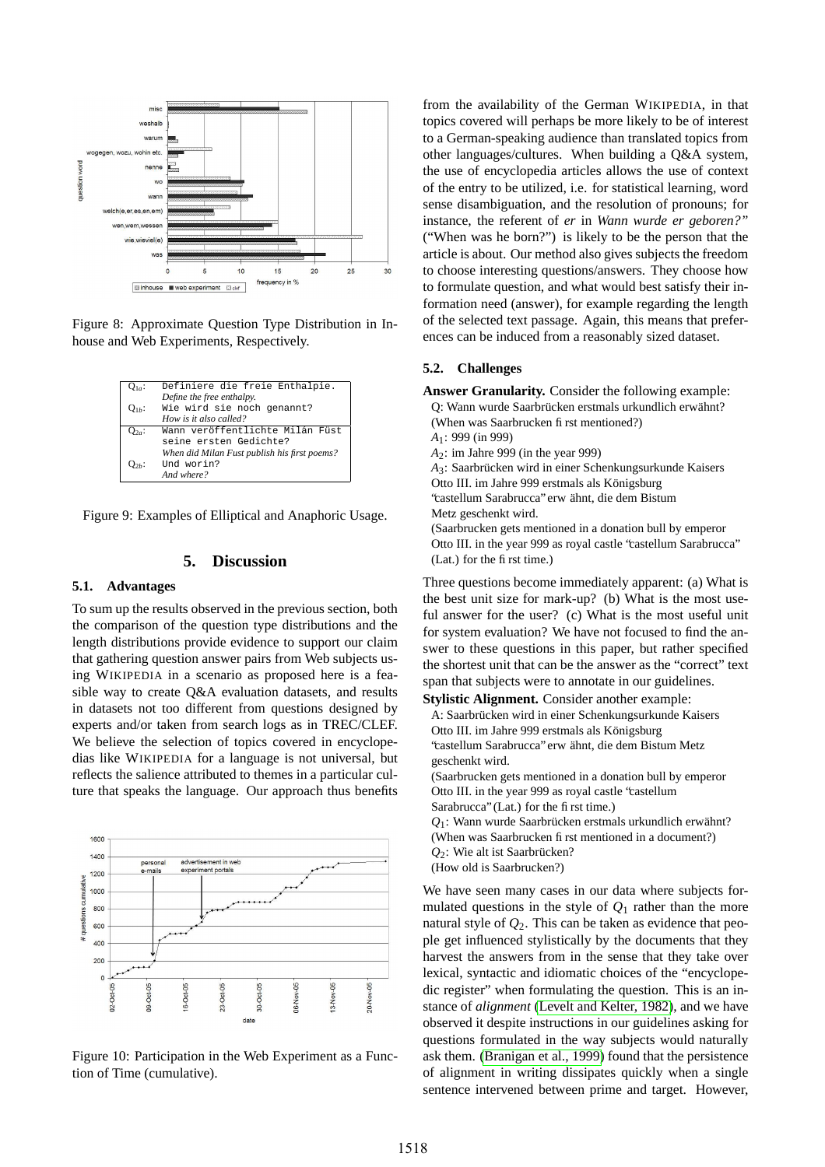

<span id="page-4-0"></span>Figure 8: Approximate Question Type Distribution in Inhouse and Web Experiments, Respectively.

| $Q_{1a}$ : | Definiere die freie Enthalpie.               |
|------------|----------------------------------------------|
|            | Define the free enthalpy.                    |
| $O_{1h}$ : | Wie wird sie noch genannt?                   |
|            | How is it also called?                       |
| $Q_{2a}$ : | Wann veröffentlichte Milán Füst              |
|            | seine ersten Gedichte?                       |
|            | When did Milan Fust publish his first poems? |
| О2ь:       | Und worin?                                   |
|            | And where?                                   |

<span id="page-4-1"></span>Figure 9: Examples of Elliptical and Anaphoric Usage.

## **5. Discussion**

## **5.1. Advantages**

To sum up the results observed in the previous section, both the comparison of the question type distributions and the length distributions provide evidence to support our claim that gathering question answer pairs from Web subjects using WIKIPEDIA in a scenario as proposed here is a feasible way to create Q&A evaluation datasets, and results in datasets not too different from questions designed by experts and/or taken from search logs as in TREC/CLEF. We believe the selection of topics covered in encyclopedias like WIKIPEDIA for a language is not universal, but reflects the salience attributed to themes in a particular culture that speaks the language. Our approach thus benefits



<span id="page-4-2"></span>Figure 10: Participation in the Web Experiment as a Function of Time (cumulative).

from the availability of the German WIKIPEDIA, in that topics covered will perhaps be more likely to be of interest to a German-speaking audience than translated topics from other languages/cultures. When building a Q&A system, the use of encyclopedia articles allows the use of context of the entry to be utilized, i.e. for statistical learning, word sense disambiguation, and the resolution of pronouns; for instance, the referent of *er* in *Wann wurde er geboren?"* ("When was he born?") is likely to be the person that the article is about. Our method also gives subjects the freedom to choose interesting questions/answers. They choose how to formulate question, and what would best satisfy their information need (answer), for example regarding the length of the selected text passage. Again, this means that preferences can be induced from a reasonably sized dataset.

#### **5.2. Challenges**

**Answer Granularity.** Consider the following example: Q: Wann wurde Saarbrücken erstmals urkundlich erwähnt? (When was Saarbrucken first mentioned?) *A*1: 999 (in 999) *A*2: im Jahre 999 (in the year 999) A<sub>3</sub>: Saarbrücken wird in einer Schenkungsurkunde Kaisers Otto III. im Jahre 999 erstmals als Königsburg 'castellum Sarabrucca" erw ähnt, die dem Bistum Metz geschenkt wird. (Saarbrucken gets mentioned in a donation bull by emperor Otto III. in the year 999 as royal castle "castellum Sarabrucca" (Lat.) for the first time.)

Three questions become immediately apparent: (a) What is the best unit size for mark-up? (b) What is the most useful answer for the user? (c) What is the most useful unit for system evaluation? We have not focused to find the answer to these questions in this paper, but rather specified the shortest unit that can be the answer as the "correct" text span that subjects were to annotate in our guidelines.

**Stylistic Alignment.** Consider another example:

A: Saarbrücken wird in einer Schenkungsurkunde Kaisers Otto III. im Jahre 999 erstmals als Königsburg 'castellum Sarabrucca" erw ähnt, die dem Bistum Metz

geschenkt wird.

(Saarbrucken gets mentioned in a donation bull by emperor Otto III. in the year 999 as royal castle "castellum Sarabrucca" (Lat.) for the first time.)

- $Q_1$ : Wann wurde Saarbrücken erstmals urkundlich erwähnt? (When was Saarbrucken first mentioned in a document?)
- $Q_2$ : Wie alt ist Saarbrücken?
- (How old is Saarbrucken?)

We have seen many cases in our data where subjects formulated questions in the style of  $Q_1$  rather than the more natural style of *Q*2. This can be taken as evidence that people get influenced stylistically by the documents that they harvest the answers from in the sense that they take over lexical, syntactic and idiomatic choices of the "encyclopedic register" when formulating the question. This is an instance of *alignment* (Levelt and [Kelter,](#page-5-12) 1982), and we have observed it despite instructions in our guidelines asking for questions formulated in the way subjects would naturally ask them. [\(Branigan](#page-5-13) et al., 1999) found that the persistence of alignment in writing dissipates quickly when a single sentence intervened between prime and target. However,